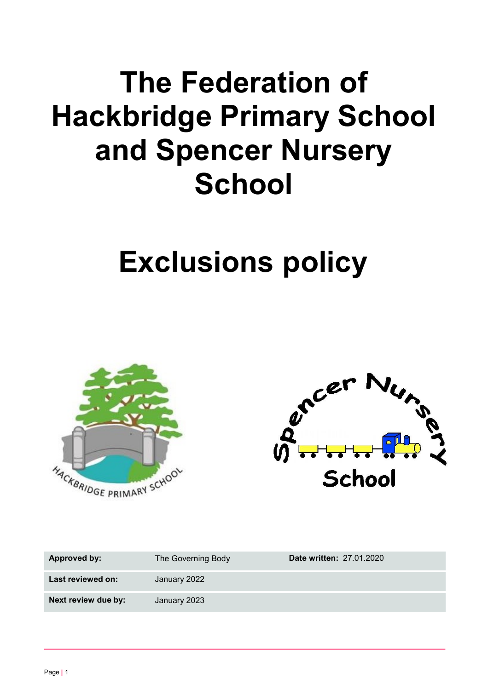# **The Federation of Hackbridge Primary School and Spencer Nursery School**

# **Exclusions policy**





| <b>Approved by:</b> | The Governing Body | <b>Date written: 27.01.2020</b> |
|---------------------|--------------------|---------------------------------|
| Last reviewed on:   | January 2022       |                                 |
| Next review due by: | January 2023       |                                 |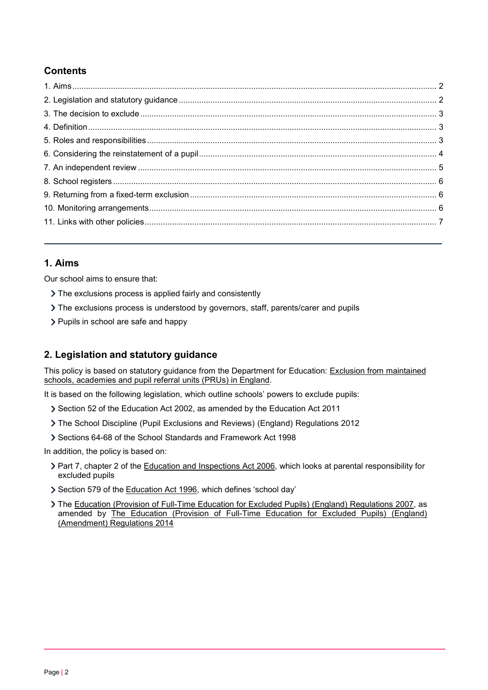# **Contents**

# <span id="page-1-0"></span>**1. Aims**

Our school aims to ensure that:

- > The exclusions process is applied fairly and consistently
- The exclusions process is understood by governors, staff, parents/carer and pupils
- > Pupils in school are safe and happy

# <span id="page-1-1"></span>**2. Legislation and statutory guidance**

This policy is based on statutory guidance from the Department for Education: [Exclusion from maintained](https://www.gov.uk/government/publications/school-exclusion) schools, academies [and pupil referral](https://www.gov.uk/government/publications/school-exclusion) units (PRUs) in England.

It is based on the following legislation, which outline schools' powers to exclude pupils:

- Section 52 of the [Education](http://www.legislation.gov.uk/ukpga/2011/21/contents/enacted) Act 2002, as amended by the Education Act 2011
- The School Discipline (Pupil Exclusions and Reviews) (England) [Regulations](http://www.legislation.gov.uk/uksi/2012/1033/made) 2012
- Sections 64-68 of the [School Standards](http://www.legislation.gov.uk/ukpga/1998/31) and Framework Act 1998

In addition, the policy is based on:

- > Part 7, chapter 2 of the [Education and Inspections Act 2006, w](http://www.legislation.gov.uk/ukpga/2006/40/part/7/chapter/2)hich looks at parental responsibility for excluded pupils
- Section 579 of the [Education](http://www.legislation.gov.uk/ukpga/1996/56/section/579) Act 1996, which defines 'school day'
- The [Education \(Provision of Full-Time Education for Excluded Pupils\) \(England\) Regulations 2007, a](http://www.legislation.gov.uk/uksi/2007/1870/contents/made)s amended by [The Education \(Provision of Full-Time Education for Excluded Pupils\) \(England\)](http://www.legislation.gov.uk/uksi/2014/3216/contents/made) [\(Amendment\) Regulations](http://www.legislation.gov.uk/uksi/2014/3216/contents/made) 2014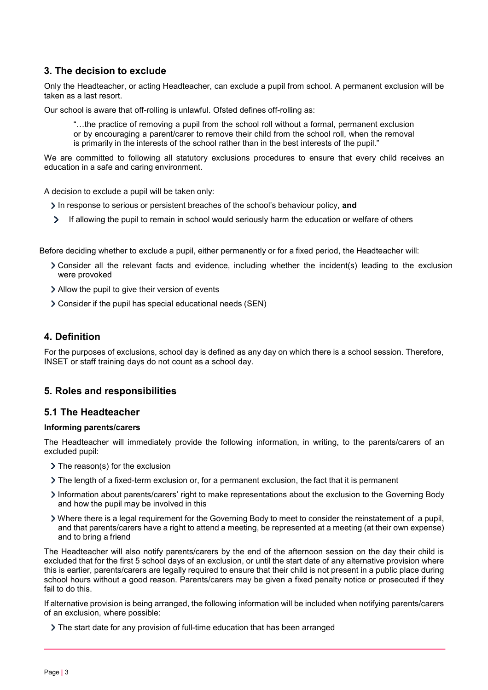# <span id="page-2-0"></span>**3. The decision to exclude**

Only the Headteacher, or acting Headteacher, can exclude a pupil from school. A permanent exclusion will be taken as a last resort.

Our school is aware that off-rolling is unlawful. Ofsted defines off-rolling as:

"…the practice of removing a pupil from the school roll without a formal, permanent exclusion or by encouraging a parent/carer to remove their child from the school roll, when the removal is primarily in the interests of the school rather than in the best interests of the pupil."

We are committed to following all statutory exclusions procedures to ensure that every child receives an education in a safe and caring environment.

A decision to exclude a pupil will be taken only:

In response to serious or persistent breaches of the school's behaviour policy, and

 $\sum$ If allowing the pupil to remain in school would seriously harm the education or welfare of others

Before deciding whether to exclude a pupil, either permanently or for a fixed period, the Headteacher will:

- Consider all the relevant facts and evidence, including whether the incident(s) leading to the exclusion were provoked
- Allow the pupil to give their version of events
- Consider if the pupil has special educational needs (SEN)

# <span id="page-2-1"></span>**4. Definition**

For the purposes of exclusions, school day is defined as any day on which there is a school session. Therefore, INSET or staff training days do not count as a school day.

# <span id="page-2-2"></span>**5. Roles and responsibilities**

# **5.1 The Headteacher**

## **Informing parents/carers**

The Headteacher will immediately provide the following information, in writing, to the parents/carers of an excluded pupil:

- > The reason(s) for the exclusion
- The length of a fixed-term exclusion or, for a permanent exclusion, the fact that it is permanent
- Information about parents/carers' right to make representations about the exclusion to the Governing Body and how the pupil may be involved in this
- Where there is a legal requirement for the Governing Body to meet to consider the reinstatement of a pupil, and that parents/carers have a right to attend a meeting, be represented at a meeting (at their own expense) and to bring a friend

The Headteacher will also notify parents/carers by the end of the afternoon session on the day their child is excluded that for the first 5 school days of an exclusion, or until the start date of any alternative provision where this is earlier, parents/carers are legally required to ensure that their child is not present in a public place during school hours without a good reason. Parents/carers may be given a fixed penalty notice or prosecuted if they fail to do this.

If alternative provision is being arranged, the following information will be included when notifying parents/carers of an exclusion, where possible:

The start date for any provision of full-time education that has been arranged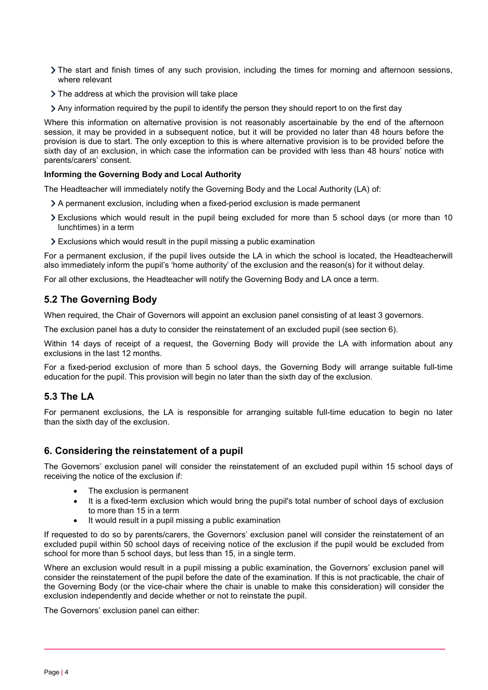- The start and finish times of any such provision, including the times for morning and afternoon sessions, where relevant
- The address at which the provision will take place
- Any information required by the pupil to identify the person they should report to on the first day

Where this information on alternative provision is not reasonably ascertainable by the end of the afternoon session, it may be provided in a subsequent notice, but it will be provided no later than 48 hours before the provision is due to start. The only exception to this is where alternative provision is to be provided before the sixth day of an exclusion, in which case the information can be provided with less than 48 hours' notice with parents/carers' consent.

## **Informing the Governing Body and Local Authority**

The Headteacher will immediately notify the Governing Body and the Local Authority (LA) of:

- A permanent exclusion, including when a fixed-period exclusion is made permanent
- Exclusions which would result in the pupil being excluded for more than 5 school days (or more than 10 lunchtimes) in a term
- Exclusions which would result in the pupil missing a public examination

For a permanent exclusion, if the pupil lives outside the LA in which the school is located, the Headteacherwill also immediately inform the pupil's 'home authority' of the exclusion and the reason(s) for it without delay.

For all other exclusions, the Headteacher will notify the Governing Body and LA once a term.

## **5.2 The Governing Body**

When required, the Chair of Governors will appoint an exclusion panel consisting of at least 3 governors.

The exclusion panel has a duty to consider the reinstatement of an excluded pupil (see section 6).

Within 14 days of receipt of a request, the Governing Body will provide the LA with information about any exclusions in the last 12 months.

For a fixed-period exclusion of more than 5 school days, the Governing Body will arrange suitable full-time education for the pupil. This provision will begin no later than the sixth day of the exclusion.

# **5.3 The LA**

For permanent exclusions, the LA is responsible for arranging suitable full-time education to begin no later than the sixth day of the exclusion.

# <span id="page-3-0"></span>**6. Considering the reinstatement of a pupil**

The Governors' exclusion panel will consider the reinstatement of an excluded pupil within 15 school days of receiving the notice of the exclusion if:

- The exclusion is permanent
- It is a fixed-term exclusion which would bring the pupil's total number of school days of exclusion to more than 15 in a term
- It would result in a pupil missing a public examination

If requested to do so by parents/carers, the Governors' exclusion panel will consider the reinstatement of an excluded pupil within 50 school days of receiving notice of the exclusion if the pupil would be excluded from school for more than 5 school days, but less than 15, in a single term.

Where an exclusion would result in a pupil missing a public examination, the Governors' exclusion panel will consider the reinstatement of the pupil before the date of the examination. If this is not practicable, the chair of the Governing Body (or the vice-chair where the chair is unable to make this consideration) will consider the exclusion independently and decide whether or not to reinstate the pupil.

The Governors' exclusion panel can either: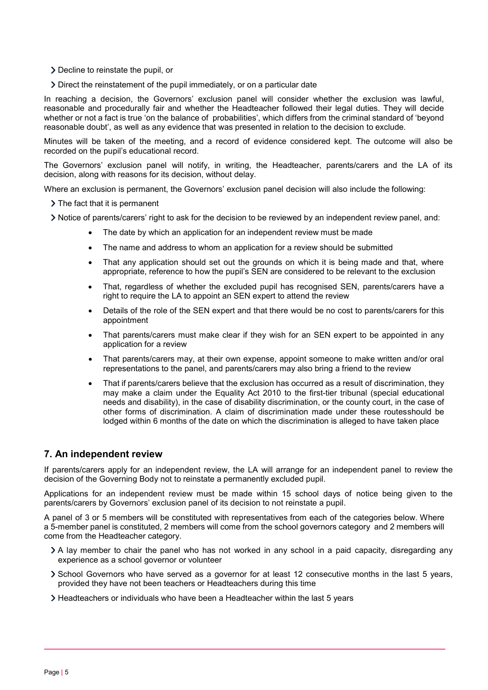- Decline to reinstate the pupil, or
- Direct the reinstatement of the pupil immediately, or on a particular date

In reaching a decision, the Governors' exclusion panel will consider whether the exclusion was lawful, reasonable and procedurally fair and whether the Headteacher followed their legal duties. They will decide whether or not a fact is true 'on the balance of probabilities', which differs from the criminal standard of 'beyond reasonable doubt', as well as any evidence that was presented in relation to the decision to exclude.

Minutes will be taken of the meeting, and a record of evidence considered kept. The outcome will also be recorded on the pupil's educational record.

The Governors' exclusion panel will notify, in writing, the Headteacher, parents/carers and the LA of its decision, along with reasons for its decision, without delay.

Where an exclusion is permanent, the Governors' exclusion panel decision will also include the following:

- > The fact that it is permanent
- Notice of parents/carers' right to ask for the decision to be reviewed by an independent review panel, and:
	- The date by which an application for an independent review must be made
	- The name and address to whom an application for a review should be submitted
	- That any application should set out the grounds on which it is being made and that, where appropriate, reference to how the pupil's SEN are considered to be relevant to the exclusion
	- That, regardless of whether the excluded pupil has recognised SEN, parents/carers have a right to require the LA to appoint an SEN expert to attend the review
	- Details of the role of the SEN expert and that there would be no cost to parents/carers for this appointment
	- That parents/carers must make clear if they wish for an SEN expert to be appointed in any application for a review
	- That parents/carers may, at their own expense, appoint someone to make written and/or oral representations to the panel, and parents/carers may also bring a friend to the review
	- That if parents/carers believe that the exclusion has occurred as a result of discrimination, they may make a claim under the Equality Act 2010 to the first-tier tribunal (special educational needs and disability), in the case of disability discrimination, or the county court, in the case of other forms of discrimination. A claim of discrimination made under these routesshould be lodged within 6 months of the date on which the discrimination is alleged to have taken place

# <span id="page-4-0"></span>**7. An independent review**

If parents/carers apply for an independent review, the LA will arrange for an independent panel to review the decision of the Governing Body not to reinstate a permanently excluded pupil.

Applications for an independent review must be made within 15 school days of notice being given to the parents/carers by Governors' exclusion panel of its decision to not reinstate a pupil.

A panel of 3 or 5 members will be constituted with representatives from each of the categories below. Where a 5-member panel is constituted, 2 members will come from the school governors category and 2 members will come from the Headteacher category.

- A lay member to chair the panel who has not worked in any school in a paid capacity, disregarding any experience as a school governor or volunteer
- School Governors who have served as a governor for at least 12 consecutive months in the last 5 years, provided they have not been teachers or Headteachers during this time
- Headteachers or individuals who have been a Headteacher within the last 5 years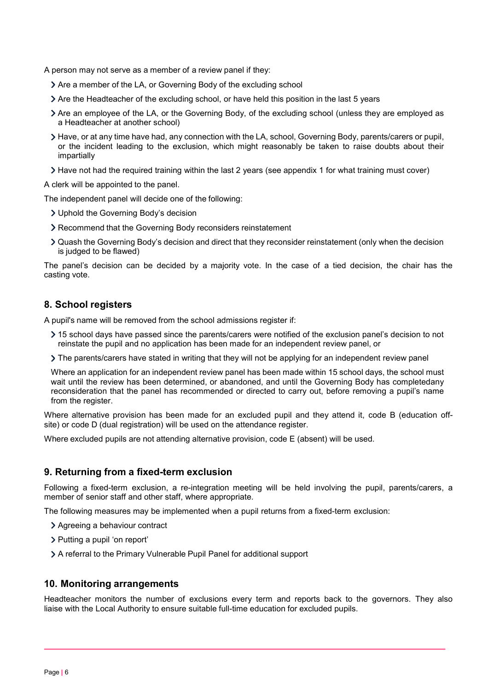A person may not serve as a member of a review panel if they:

- Are a member of the LA, or Governing Body of the excluding school
- Are the Headteacher of the excluding school, or have held this position in the last 5 years
- Are an employee of the LA, or the Governing Body, of the excluding school (unless they are employed as a Headteacher at another school)
- Have, or at any time have had, any connection with the LA, school, Governing Body, parents/carers or pupil, or the incident leading to the exclusion, which might reasonably be taken to raise doubts about their impartially
- Have not had the required training within the last 2 years (see appendix 1 for what training must cover)

A clerk will be appointed to the panel.

The independent panel will decide one of the following:

- Uphold the Governing Body's decision
- Recommend that the Governing Body reconsiders reinstatement
- Quash the Governing Body's decision and direct that they reconsider reinstatement (only when the decision is judged to be flawed)

The panel's decision can be decided by a majority vote. In the case of a tied decision, the chair has the casting vote.

## <span id="page-5-0"></span>**8. School registers**

A pupil's name will be removed from the school admissions register if:

- 15 school days have passed since the parents/carers were notified of the exclusion panel's decision to not reinstate the pupil and no application has been made for an independent review panel, or
- The parents/carers have stated in writing that they will not be applying for an independent review panel

Where an application for an independent review panel has been made within 15 school days, the school must wait until the review has been determined, or abandoned, and until the Governing Body has completedany reconsideration that the panel has recommended or directed to carry out, before removing a pupil's name from the register.

Where alternative provision has been made for an excluded pupil and they attend it, code B (education offsite) or code D (dual registration) will be used on the attendance register.

Where excluded pupils are not attending alternative provision, code E (absent) will be used.

# <span id="page-5-1"></span>**9. Returning from a fixed-term exclusion**

Following a fixed-term exclusion, a re-integration meeting will be held involving the pupil, parents/carers, a member of senior staff and other staff, where appropriate.

The following measures may be implemented when a pupil returns from a fixed-term exclusion:

- Agreeing a behaviour contract
- > Putting a pupil 'on report'
- A referral to the Primary Vulnerable Pupil Panel for additional support

## <span id="page-5-2"></span>**10. Monitoring arrangements**

Headteacher monitors the number of exclusions every term and reports back to the governors. They also liaise with the Local Authority to ensure suitable full-time education for excluded pupils.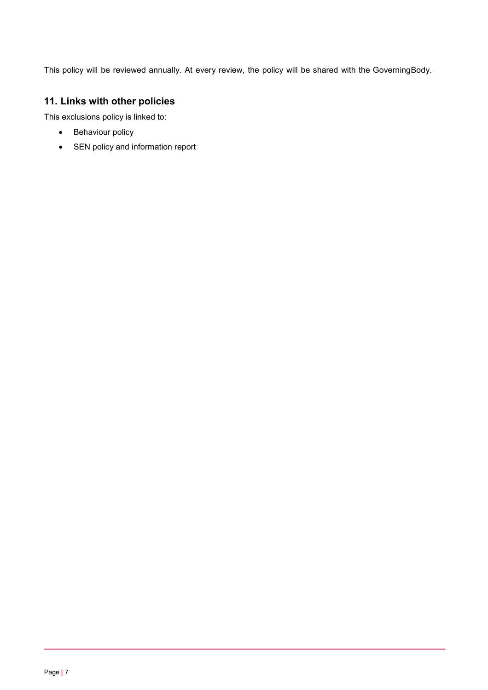This policy will be reviewed annually. At every review, the policy will be shared with the GoverningBody.

# <span id="page-6-0"></span>**11. Links with other policies**

This exclusions policy is linked to:

- Behaviour policy
- SEN policy and information report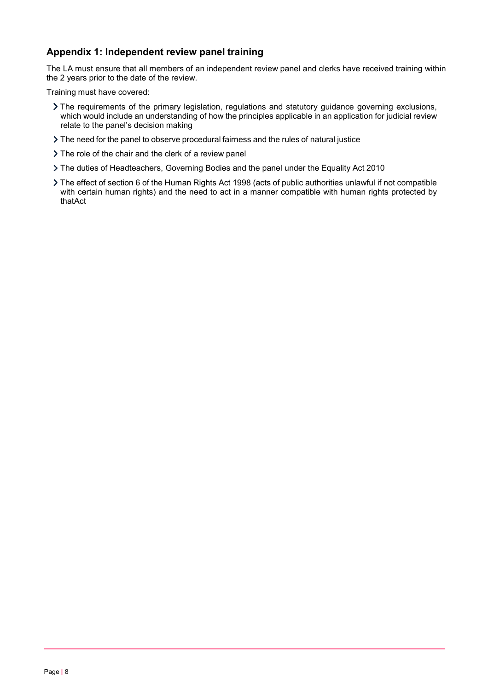# **Appendix 1: Independent review panel training**

The LA must ensure that all members of an independent review panel and clerks have received training within the 2 years prior to the date of the review.

Training must have covered:

- The requirements of the primary legislation, regulations and statutory guidance governing exclusions, which would include an understanding of how the principles applicable in an application for judicial review relate to the panel's decision making
- The need for the panel to observe procedural fairness and the rules of natural justice
- > The role of the chair and the clerk of a review panel
- The duties of Headteachers, Governing Bodies and the panel under the Equality Act 2010
- The effect of section 6 of the Human Rights Act 1998 (acts of public authorities unlawful if not compatible with certain human rights) and the need to act in a manner compatible with human rights protected by thatAct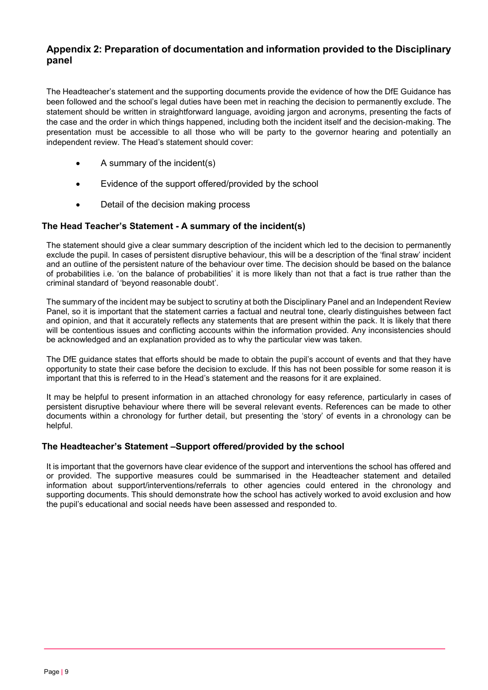# **Appendix 2: Preparation of documentation and information provided to the Disciplinary panel**

The Headteacher's statement and the supporting documents provide the evidence of how the DfE Guidance has been followed and the school's legal duties have been met in reaching the decision to permanently exclude. The statement should be written in straightforward language, avoiding jargon and acronyms, presenting the facts of the case and the order in which things happened, including both the incident itself and the decision-making. The presentation must be accessible to all those who will be party to the governor hearing and potentially an independent review. The Head's statement should cover:

- A summary of the incident(s)
- Evidence of the support offered/provided by the school
- Detail of the decision making process

# **The Head Teacher's Statement - A summary of the incident(s)**

The statement should give a clear summary description of the incident which led to the decision to permanently exclude the pupil. In cases of persistent disruptive behaviour, this will be a description of the 'final straw' incident and an outline of the persistent nature of the behaviour over time. The decision should be based on the balance of probabilities i.e. 'on the balance of probabilities' it is more likely than not that a fact is true rather than the criminal standard of 'beyond reasonable doubt'.

The summary of the incident may be subject to scrutiny at both the Disciplinary Panel and an Independent Review Panel, so it is important that the statement carries a factual and neutral tone, clearly distinguishes between fact and opinion, and that it accurately reflects any statements that are present within the pack. It is likely that there will be contentious issues and conflicting accounts within the information provided. Any inconsistencies should be acknowledged and an explanation provided as to why the particular view was taken.

The DfE guidance states that efforts should be made to obtain the pupil's account of events and that they have opportunity to state their case before the decision to exclude. If this has not been possible for some reason it is important that this is referred to in the Head's statement and the reasons for it are explained.

It may be helpful to present information in an attached chronology for easy reference, particularly in cases of persistent disruptive behaviour where there will be several relevant events. References can be made to other documents within a chronology for further detail, but presenting the 'story' of events in a chronology can be helpful.

# **The Headteacher's Statement –Support offered/provided by the school**

It is important that the governors have clear evidence of the support and interventions the school has offered and or provided. The supportive measures could be summarised in the Headteacher statement and detailed information about support/interventions/referrals to other agencies could entered in the chronology and supporting documents. This should demonstrate how the school has actively worked to avoid exclusion and how the pupil's educational and social needs have been assessed and responded to.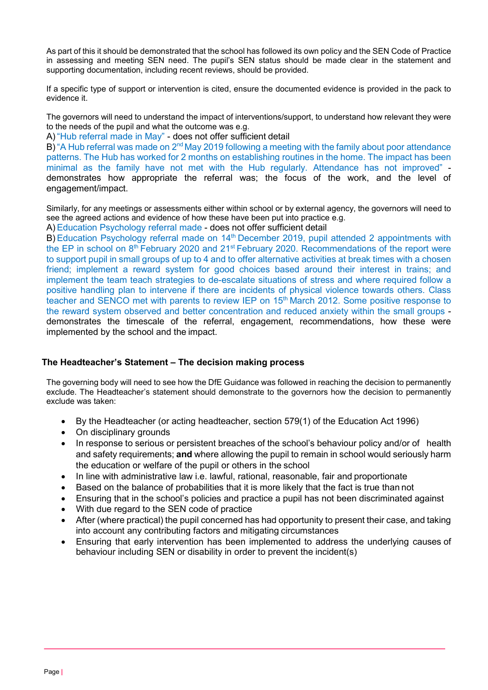As part of this it should be demonstrated that the school has followed its own policy and the SEN Code of Practice in assessing and meeting SEN need. The pupil's SEN status should be made clear in the statement and supporting documentation, including recent reviews, should be provided.

If a specific type of support or intervention is cited, ensure the documented evidence is provided in the pack to evidence it.

The governors will need to understand the impact of interventions/support, to understand how relevant they were to the needs of the pupil and what the outcome was e.g.

A) "Hub referral made in May" - does not offer sufficient detail

B) "A Hub referral was made on 2<sup>nd</sup> May 2019 following a meeting with the family about poor attendance patterns. The Hub has worked for 2 months on establishing routines in the home. The impact has been minimal as the family have not met with the Hub regularly. Attendance has not improved" demonstrates how appropriate the referral was; the focus of the work, and the level of engagement/impact.

Similarly, for any meetings or assessments either within school or by external agency, the governors will need to see the agreed actions and evidence of how these have been put into practice e.g.

A) Education Psychology referral made - does not offer sufficient detail

B) Education Psychology referral made on 14<sup>th</sup> December 2019, pupil attended 2 appointments with the EP in school on 8<sup>th</sup> February 2020 and 21<sup>st</sup> February 2020. Recommendations of the report were to support pupil in small groups of up to 4 and to offer alternative activities at break times with a chosen friend; implement a reward system for good choices based around their interest in trains; and implement the team teach strategies to de-escalate situations of stress and where required follow a positive handling plan to intervene if there are incidents of physical violence towards others. Class teacher and SENCO met with parents to review IEP on 15<sup>th</sup> March 2012. Some positive response to the reward system observed and better concentration and reduced anxiety within the small groups demonstrates the timescale of the referral, engagement, recommendations, how these were implemented by the school and the impact.

# **The Headteacher's Statement – The decision making process**

The governing body will need to see how the DfE Guidance was followed in reaching the decision to permanently exclude. The Headteacher's statement should demonstrate to the governors how the decision to permanently exclude was taken:

- By the Headteacher (or acting headteacher, section 579(1) of the Education Act 1996)
- On disciplinary grounds
- In response to serious or persistent breaches of the school's behaviour policy and/or of health and safety requirements; **and** where allowing the pupil to remain in school would seriously harm the education or welfare of the pupil or others in the school
- In line with administrative law i.e. lawful, rational, reasonable, fair and proportionate
- Based on the balance of probabilities that it is more likely that the fact is true than not
- Ensuring that in the school's policies and practice a pupil has not been discriminated against
- With due regard to the SEN code of practice
- After (where practical) the pupil concerned has had opportunity to present their case, and taking into account any contributing factors and mitigating circumstances
- Ensuring that early intervention has been implemented to address the underlying causes of behaviour including SEN or disability in order to prevent the incident(s)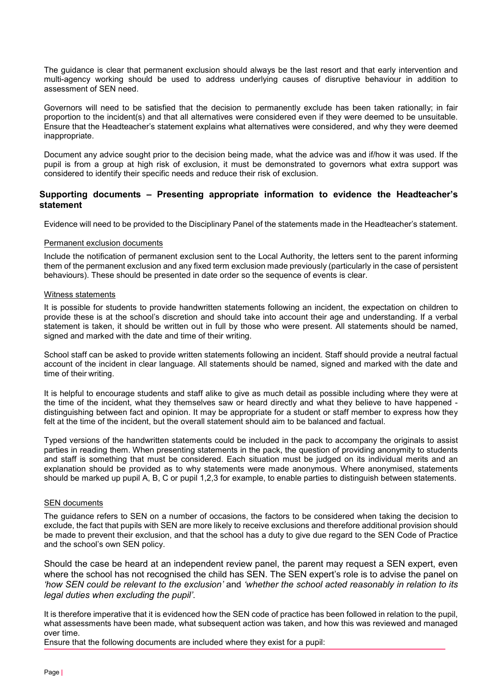The guidance is clear that permanent exclusion should always be the last resort and that early intervention and multi-agency working should be used to address underlying causes of disruptive behaviour in addition to assessment of SEN need.

Governors will need to be satisfied that the decision to permanently exclude has been taken rationally; in fair proportion to the incident(s) and that all alternatives were considered even if they were deemed to be unsuitable. Ensure that the Headteacher's statement explains what alternatives were considered, and why they were deemed inappropriate.

Document any advice sought prior to the decision being made, what the advice was and if/how it was used. If the pupil is from a group at high risk of exclusion, it must be demonstrated to governors what extra support was considered to identify their specific needs and reduce their risk of exclusion.

## **Supporting documents – Presenting appropriate information to evidence the Headteacher's statement**

Evidence will need to be provided to the Disciplinary Panel of the statements made in the Headteacher's statement.

#### Permanent exclusion documents

Include the notification of permanent exclusion sent to the Local Authority, the letters sent to the parent informing them of the permanent exclusion and any fixed term exclusion made previously (particularly in the case of persistent behaviours). These should be presented in date order so the sequence of events is clear.

#### Witness statements

It is possible for students to provide handwritten statements following an incident, the expectation on children to provide these is at the school's discretion and should take into account their age and understanding. If a verbal statement is taken, it should be written out in full by those who were present. All statements should be named, signed and marked with the date and time of their writing.

School staff can be asked to provide written statements following an incident. Staff should provide a neutral factual account of the incident in clear language. All statements should be named, signed and marked with the date and time of their writing.

It is helpful to encourage students and staff alike to give as much detail as possible including where they were at the time of the incident, what they themselves saw or heard directly and what they believe to have happened distinguishing between fact and opinion. It may be appropriate for a student or staff member to express how they felt at the time of the incident, but the overall statement should aim to be balanced and factual.

Typed versions of the handwritten statements could be included in the pack to accompany the originals to assist parties in reading them. When presenting statements in the pack, the question of providing anonymity to students and staff is something that must be considered. Each situation must be judged on its individual merits and an explanation should be provided as to why statements were made anonymous. Where anonymised, statements should be marked up pupil A, B, C or pupil 1,2,3 for example, to enable parties to distinguish between statements.

## SEN documents

The guidance refers to SEN on a number of occasions, the factors to be considered when taking the decision to exclude, the fact that pupils with SEN are more likely to receive exclusions and therefore additional provision should be made to prevent their exclusion, and that the school has a duty to give due regard to the SEN Code of Practice and the school's own SEN policy.

Should the case be heard at an independent review panel, the parent may request a SEN expert, even where the school has not recognised the child has SEN. The SEN expert's role is to advise the panel on *'how SEN could be relevant to the exclusion'* and *'whether the school acted reasonably in relation to its legal duties when excluding the pupil'*.

It is therefore imperative that it is evidenced how the SEN code of practice has been followed in relation to the pupil, what assessments have been made, what subsequent action was taken, and how this was reviewed and managed over time.

Ensure that the following documents are included where they exist for a pupil: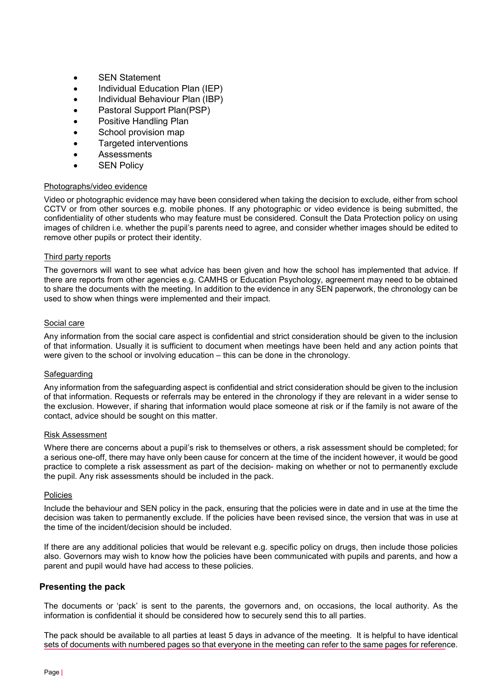- SEN Statement
- Individual Education Plan (IEP)
- Individual Behaviour Plan (IBP)
- Pastoral Support Plan(PSP)
- Positive Handling Plan
- School provision map
- Targeted interventions
- **Assessments**
- **SEN Policy**

## Photographs/video evidence

Video or photographic evidence may have been considered when taking the decision to exclude, either from school CCTV or from other sources e.g. mobile phones. If any photographic or video evidence is being submitted, the confidentiality of other students who may feature must be considered. Consult the Data Protection policy on using images of children i.e. whether the pupil's parents need to agree, and consider whether images should be edited to remove other pupils or protect their identity.

## Third party reports

The governors will want to see what advice has been given and how the school has implemented that advice. If there are reports from other agencies e.g. CAMHS or Education Psychology, agreement may need to be obtained to share the documents with the meeting. In addition to the evidence in any SEN paperwork, the chronology can be used to show when things were implemented and their impact.

## Social care

Any information from the social care aspect is confidential and strict consideration should be given to the inclusion of that information. Usually it is sufficient to document when meetings have been held and any action points that were given to the school or involving education – this can be done in the chronology.

#### Safeguarding

Any information from the safeguarding aspect is confidential and strict consideration should be given to the inclusion of that information. Requests or referrals may be entered in the chronology if they are relevant in a wider sense to the exclusion. However, if sharing that information would place someone at risk or if the family is not aware of the contact, advice should be sought on this matter.

#### Risk Assessment

Where there are concerns about a pupil's risk to themselves or others, a risk assessment should be completed; for a serious one-off, there may have only been cause for concern at the time of the incident however, it would be good practice to complete a risk assessment as part of the decision- making on whether or not to permanently exclude the pupil. Any risk assessments should be included in the pack.

#### Policies

Include the behaviour and SEN policy in the pack, ensuring that the policies were in date and in use at the time the decision was taken to permanently exclude. If the policies have been revised since, the version that was in use at the time of the incident/decision should be included.

If there are any additional policies that would be relevant e.g. specific policy on drugs, then include those policies also. Governors may wish to know how the policies have been communicated with pupils and parents, and how a parent and pupil would have had access to these policies.

## **Presenting the pack**

The documents or 'pack' is sent to the parents, the governors and, on occasions, the local authority. As the information is confidential it should be considered how to securely send this to all parties.

The pack should be available to all parties at least 5 days in advance of the meeting. It is helpful to have identical sets of documents with numbered pages so that everyone in the meeting can refer to the same pages for reference.